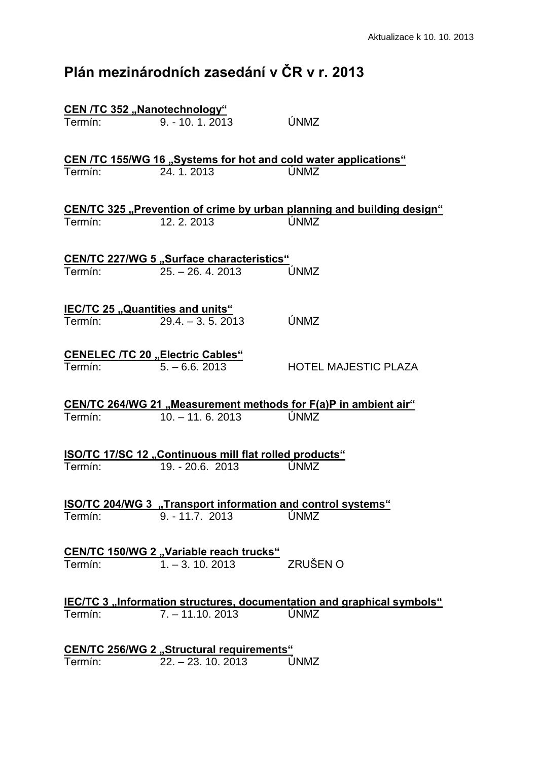## **Plán mezinárodních zasedání v ČR v r. 2013**

|         | <b>CEN /TC 352 "Nanotechnology"</b>                    |                                                                               |
|---------|--------------------------------------------------------|-------------------------------------------------------------------------------|
| Termín: | $9. - 10. 1. 2013$                                     | ÚNMZ                                                                          |
|         |                                                        | CEN /TC 155/WG 16 "Systems for hot and cold water applications"               |
| Termín: | 24.1.2013                                              | ÚNMZ                                                                          |
|         |                                                        | CEN/TC 325 "Prevention of crime by urban planning and building design"        |
| Termín: | 12.2.2013                                              | ÚNMZ                                                                          |
|         | <b>CEN/TC 227/WG 5 "Surface characteristics"</b>       |                                                                               |
|         | Termín: 25. – 26. 4. 2013                              | ÚNMZ                                                                          |
|         | <b>IEC/TC 25 "Quantities and units"</b>                |                                                                               |
|         | Termín: 29.4. - 3.5.2013                               | ÚNMZ                                                                          |
|         | <b>CENELEC /TC 20 "Electric Cables"</b>                |                                                                               |
|         |                                                        | <b>HOTEL MAJESTIC PLAZA</b>                                                   |
|         |                                                        | CEN/TC 264/WG 21 "Measurement methods for F(a)P in ambient air"               |
| Termín: | $10. - 11.6.2013$                                      | ÚNMZ                                                                          |
|         | ISO/TC 17/SC 12 "Continuous mill flat rolled products" |                                                                               |
|         | Termín: 19. - 20.6. 2013                               | ÚNMZ                                                                          |
|         |                                                        | <b>ISO/TC 204/WG 3</b> "Transport information and control systems"            |
| Termín: | $9. - 11.7. 2013$                                      | <b>ÚNMZ</b>                                                                   |
|         | CEN/TC 150/WG 2 "Variable reach trucks"                |                                                                               |
| Termín: | $1. - 3. 10. 2013$                                     | ZRUŠEN O                                                                      |
|         |                                                        | <b>IEC/TC 3 "Information structures, documentation and graphical symbols"</b> |
| Termín: | $\overline{7.}$ – 11.10. 2013                          | ÚNMZ                                                                          |
|         | <b>CEN/TC 256/WG 2 "Structural requirements"</b>       |                                                                               |
| Termín: | $22. - 23. 10. 2013$                                   | ÚNMZ                                                                          |